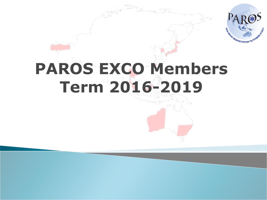

## **PAROS EXCO Members Term 2016-2019**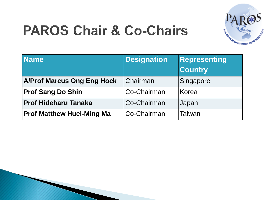

## **PAROS Chair & Co-Chairs**

| Name                              | <b>Designation</b> | Representing<br><b>Country</b> |
|-----------------------------------|--------------------|--------------------------------|
| <b>A/Prof Marcus Ong Eng Hock</b> | Chairman           | Singapore                      |
| <b>Prof Sang Do Shin</b>          | Co-Chairman        | Korea                          |
| <b>Prof Hideharu Tanaka</b>       | Co-Chairman        | Japan                          |
| <b>Prof Matthew Huei-Ming Ma</b>  | Co-Chairman        | Taiwan                         |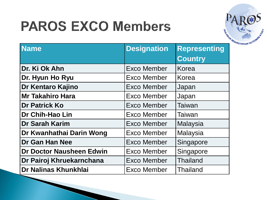## **PAROS EXCO Members**



| <b>Name</b>              | <b>Designation</b> | <b>Representing</b> |
|--------------------------|--------------------|---------------------|
|                          |                    | Country             |
| Dr. Ki Ok Ahn            | <b>Exco Member</b> | Korea               |
| Dr. Hyun Ho Ryu          | <b>Exco Member</b> | Korea               |
| Dr Kentaro Kajino        | <b>Exco Member</b> | Japan               |
| <b>Mr Takahiro Hara</b>  | <b>Exco Member</b> | Japan               |
| <b>Dr Patrick Ko</b>     | Exco Member        | Taiwan              |
| Dr Chih-Hao Lin          | Exco Member        | Taiwan              |
| <b>Dr Sarah Karim</b>    | <b>Exco Member</b> | <b>Malaysia</b>     |
| Dr Kwanhathai Darin Wong | Exco Member        | Malaysia            |
| Dr Gan Han Nee           | Exco Member        | Singapore           |
| Dr Doctor Nausheen Edwin | <b>Exco Member</b> | Singapore           |
| Dr Pairoj Khruekarnchana | <b>Exco Member</b> | <b>Thailand</b>     |
| Dr Nalinas Khunkhlai     | Exco Member        | <b>Thailand</b>     |